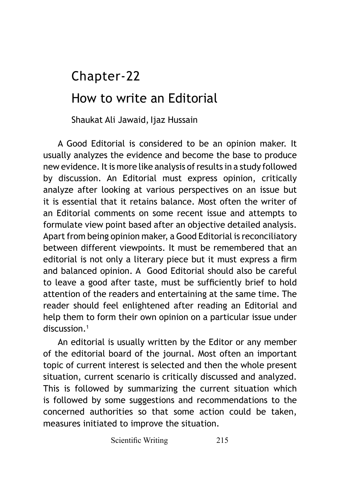# How to write an Editorial Chapter-22

Shaukat Ali Jawaid, Ijaz Hussain

A Good Editorial is considered to be an opinion maker. It usually analyzes the evidence and become the base to produce new evidence. It is more like analysis of results in a study followed by discussion. An Editorial must express opinion, critically analyze after looking at various perspectives on an issue but it is essential that it retains balance. Most often the writer of an Editorial comments on some recent issue and attempts to formulate view point based after an objective detailed analysis. Apart from being opinion maker, a Good Editorial is reconciliatory between different viewpoints. It must be remembered that an editorial is not only a literary piece but it must express a firm and balanced opinion. A Good Editorial should also be careful to leave a good after taste, must be sufficiently brief to hold attention of the readers and entertaining at the same time. The reader should feel enlightened after reading an Editorial and help them to form their own opinion on a particular issue under discussion.<sup>1</sup>

An editorial is usually written by the Editor or any member of the editorial board of the journal. Most often an important topic of current interest is selected and then the whole present situation, current scenario is critically discussed and analyzed. This is followed by summarizing the current situation which is followed by some suggestions and recommendations to the concerned authorities so that some action could be taken, measures initiated to improve the situation.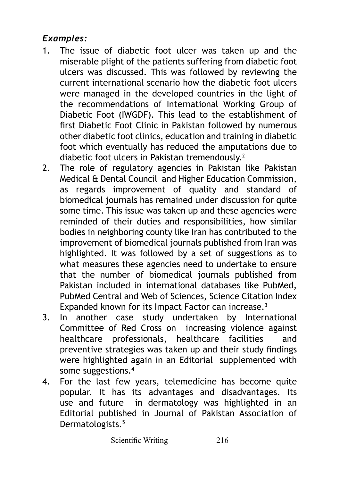### *Examples:*

- 1. The issue of diabetic foot ulcer was taken up and the miserable plight of the patients suffering from diabetic foot ulcers was discussed. This was followed by reviewing the current international scenario how the diabetic foot ulcers were managed in the developed countries in the light of the recommendations of International Working Group of Diabetic Foot (IWGDF). This lead to the establishment of first Diabetic Foot Clinic in Pakistan followed by numerous other diabetic foot clinics, education and training in diabetic foot which eventually has reduced the amputations due to diabetic foot ulcers in Pakistan tremendously.<sup>2</sup>
- 2. The role of regulatory agencies in Pakistan like Pakistan Medical & Dental Council and Higher Education Commission, as regards improvement of quality and standard of biomedical journals has remained under discussion for quite some time. This issue was taken up and these agencies were reminded of their duties and responsibilities, how similar bodies in neighboring county like Iran has contributed to the improvement of biomedical journals published from Iran was highlighted. It was followed by a set of suggestions as to what measures these agencies need to undertake to ensure that the number of biomedical journals published from Pakistan included in international databases like PubMed, PubMed Central and Web of Sciences, Science Citation Index Expanded known for its Impact Factor can increase.<sup>3</sup>
- 3. In another case study undertaken by International Committee of Red Cross on increasing violence against healthcare professionals, healthcare facilities and preventive strategies was taken up and their study findings were highlighted again in an Editorial supplemented with some suggestions.4
- 4. For the last few years, telemedicine has become quite popular. It has its advantages and disadvantages. Its use and future in dermatology was highlighted in an Editorial published in Journal of Pakistan Association of Dermatologists.<sup>5</sup>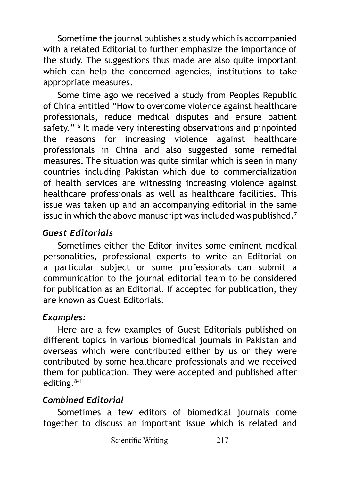Sometime the journal publishes a study which is accompanied with a related Editorial to further emphasize the importance of the study. The suggestions thus made are also quite important which can help the concerned agencies, institutions to take appropriate measures.

Some time ago we received a study from Peoples Republic of China entitled "How to overcome violence against healthcare professionals, reduce medical disputes and ensure patient safety." <sup>6</sup> It made very interesting observations and pinpointed the reasons for increasing violence against healthcare professionals in China and also suggested some remedial measures. The situation was quite similar which is seen in many countries including Pakistan which due to commercialization of health services are witnessing increasing violence against healthcare professionals as well as healthcare facilities. This issue was taken up and an accompanying editorial in the same issue in which the above manuscript was included was published.<sup>7</sup>

#### *Guest Editorials*

Sometimes either the Editor invites some eminent medical personalities, professional experts to write an Editorial on a particular subject or some professionals can submit a communication to the journal editorial team to be considered for publication as an Editorial. If accepted for publication, they are known as Guest Editorials.

# *Examples:*

Here are a few examples of Guest Editorials published on different topics in various biomedical journals in Pakistan and overseas which were contributed either by us or they were contributed by some healthcare professionals and we received them for publication. They were accepted and published after editing.<sup>8-11</sup>

# *Combined Editorial*

Sometimes a few editors of biomedical journals come together to discuss an important issue which is related and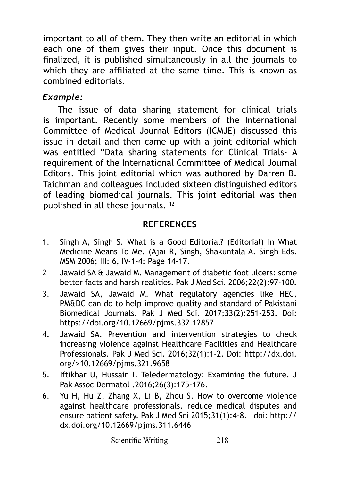important to all of them. They then write an editorial in which each one of them gives their input. Once this document is finalized, it is published simultaneously in all the journals to which they are affiliated at the same time. This is known as combined editorials.

#### *Example:*

The issue of data sharing statement for clinical trials is important. Recently some members of the International Committee of Medical Journal Editors (ICMJE) discussed this issue in detail and then came up with a joint editorial which was entitled "Data sharing statements for Clinical Trials- A requirement of the International Committee of Medical Journal Editors. This joint editorial which was authored by Darren B. Taichman and colleagues included sixteen distinguished editors of leading biomedical journals. This joint editorial was then published in all these journals. 12

#### **REFERENCES**

- 1. Singh A, Singh S. What is a Good Editorial? (Editorial) in What Medicine Means To Me. (Ajai R, Singh, Shakuntala A. Singh Eds. MSM 2006; III: 6, IV-1-4: Page 14-17.
- 2 Jawaid SA & Jawaid M. Management of diabetic foot ulcers: some better facts and harsh realities. Pak J Med Sci. 2006;22(2):97-100.
- 3. Jawaid SA, Jawaid M. What regulatory agencies like HEC, PM&DC can do to help improve quality and standard of Pakistani Biomedical Journals. Pak J Med Sci. 2017;33(2):251-253. Doi: <https://doi.org/10.12669/pjms.332.12857>
- 4. Jawaid SA. Prevention and intervention strategies to check increasing violence against Healthcare Facilities and Healthcare Professionals. Pak J Med Sci. 2016;32(1):1-2. Doi: [http://dx.doi.](http://dx.doi.org/>10.12669/pjms.321.9658 5) [org/>10.12669/pjms.321.9658](http://dx.doi.org/>10.12669/pjms.321.9658 5)
- [5.](http://dx.doi.org/>10.12669/pjms.321.9658 5) Iftikhar U, Hussain I. Teledermatology: Examining the future. J Pak Assoc Dermatol .2016;26(3):175-176.
- 6. Yu H, Hu Z, Zhang X, Li B, Zhou S. How to overcome violence against healthcare professionals, reduce medical disputes and ensure patient safety. Pak J Med Sci 2015;31(1):4-8. doi: http:// dx.doi.org/10.12669/pjms.311.6446